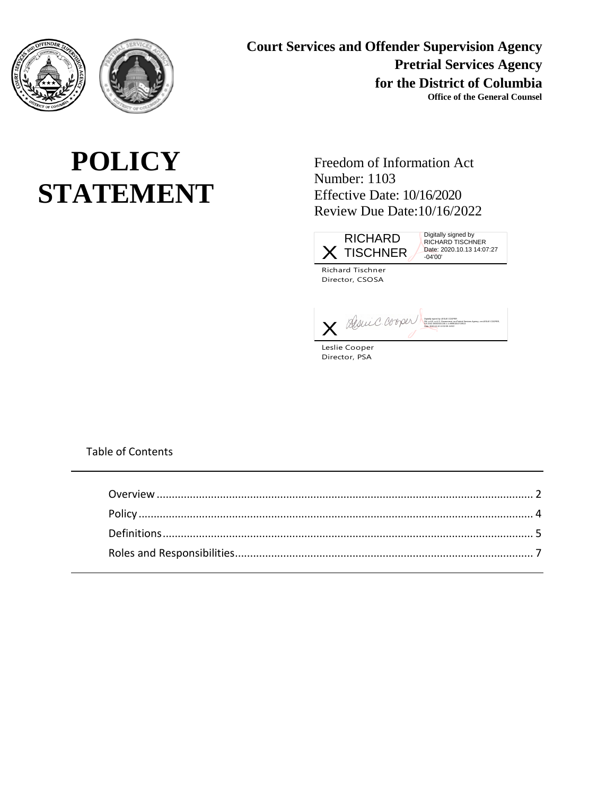

**Court Services and Offender Supervision Agency Pretrial Services Agency for the District of Columbia Office of the General Counsel**

# **POLICY STATEMENT**

Freedom of Information Act Number: 1103 Effective Date: 10/16/2020 Review Due Date:10/16/2022



Digitally signed by RICHARD TISCHNER Date: 2020.10.13 14:07:27 -04'00'

Richard Tischner Director, CSOSA

X BUSLIE C. OS V PL) San german tradition compare menter construction compare de la coopera de la coopera de la coopera de la coopera de la coopera de la coopera de la coopera de la coopera de la coopera de la coopera de l

Leslie Cooper Director, PSA

Table of Contents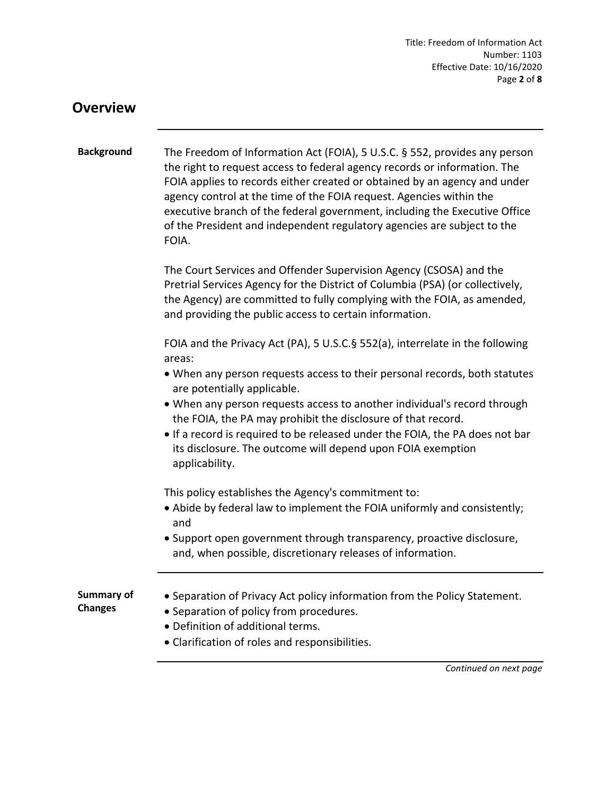Title: Freedom of Information Act Number: 1103 Effective Date: 10/16/2020 Page **2** of **8**

#### <span id="page-1-0"></span>**Overview**

| <b>Background</b>                   | The Freedom of Information Act (FOIA), 5 U.S.C. § 552, provides any person<br>the right to request access to federal agency records or information. The<br>FOIA applies to records either created or obtained by an agency and under<br>agency control at the time of the FOIA request. Agencies within the<br>executive branch of the federal government, including the Executive Office<br>of the President and independent regulatory agencies are subject to the<br>FOIA. |
|-------------------------------------|-------------------------------------------------------------------------------------------------------------------------------------------------------------------------------------------------------------------------------------------------------------------------------------------------------------------------------------------------------------------------------------------------------------------------------------------------------------------------------|
|                                     | The Court Services and Offender Supervision Agency (CSOSA) and the<br>Pretrial Services Agency for the District of Columbia (PSA) (or collectively,<br>the Agency) are committed to fully complying with the FOIA, as amended,<br>and providing the public access to certain information.                                                                                                                                                                                     |
|                                     | FOIA and the Privacy Act (PA), 5 U.S.C.§ 552(a), interrelate in the following<br>areas:                                                                                                                                                                                                                                                                                                                                                                                       |
|                                     | • When any person requests access to their personal records, both statutes<br>are potentially applicable.                                                                                                                                                                                                                                                                                                                                                                     |
|                                     | • When any person requests access to another individual's record through<br>the FOIA, the PA may prohibit the disclosure of that record.                                                                                                                                                                                                                                                                                                                                      |
|                                     | • If a record is required to be released under the FOIA, the PA does not bar<br>its disclosure. The outcome will depend upon FOIA exemption<br>applicability.                                                                                                                                                                                                                                                                                                                 |
|                                     | This policy establishes the Agency's commitment to:                                                                                                                                                                                                                                                                                                                                                                                                                           |
|                                     | • Abide by federal law to implement the FOIA uniformly and consistently;<br>and                                                                                                                                                                                                                                                                                                                                                                                               |
|                                     | • Support open government through transparency, proactive disclosure,<br>and, when possible, discretionary releases of information.                                                                                                                                                                                                                                                                                                                                           |
| <b>Summary of</b><br><b>Changes</b> | • Separation of Privacy Act policy information from the Policy Statement.<br>• Separation of policy from procedures.<br>• Definition of additional terms.<br>• Clarification of roles and responsibilities.                                                                                                                                                                                                                                                                   |

*Continued on next page*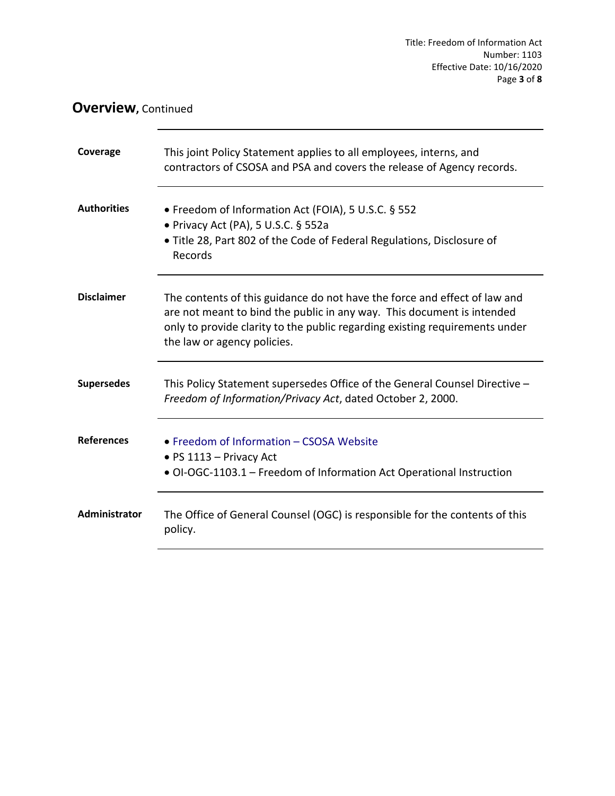### **Overview, Continued**

| Coverage           | This joint Policy Statement applies to all employees, interns, and<br>contractors of CSOSA and PSA and covers the release of Agency records.                                                                                                                      |
|--------------------|-------------------------------------------------------------------------------------------------------------------------------------------------------------------------------------------------------------------------------------------------------------------|
| <b>Authorities</b> | • Freedom of Information Act (FOIA), 5 U.S.C. § 552<br>• Privacy Act (PA), 5 U.S.C. § 552a<br>• Title 28, Part 802 of the Code of Federal Regulations, Disclosure of<br>Records                                                                                   |
| <b>Disclaimer</b>  | The contents of this guidance do not have the force and effect of law and<br>are not meant to bind the public in any way. This document is intended<br>only to provide clarity to the public regarding existing requirements under<br>the law or agency policies. |
| <b>Supersedes</b>  | This Policy Statement supersedes Office of the General Counsel Directive -<br>Freedom of Information/Privacy Act, dated October 2, 2000.                                                                                                                          |
| <b>References</b>  | • Freedom of Information - CSOSA Website<br>• PS $1113$ – Privacy Act<br>• OI-OGC-1103.1 - Freedom of Information Act Operational Instruction                                                                                                                     |
| Administrator      | The Office of General Counsel (OGC) is responsible for the contents of this<br>policy.                                                                                                                                                                            |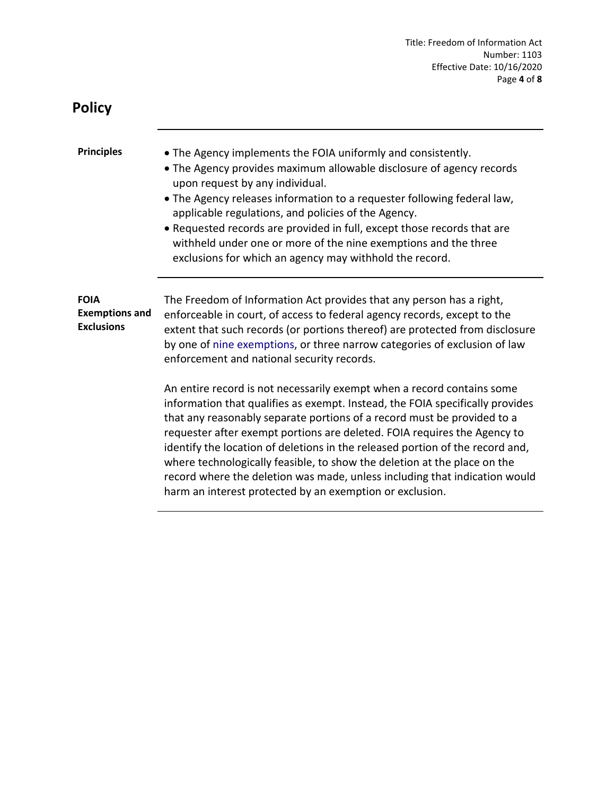<span id="page-3-0"></span>

| <b>Policy</b>                                             |                                                                                                                                                                                                                                                                                                                                                                                                                                                                                                                                                                                                                       |
|-----------------------------------------------------------|-----------------------------------------------------------------------------------------------------------------------------------------------------------------------------------------------------------------------------------------------------------------------------------------------------------------------------------------------------------------------------------------------------------------------------------------------------------------------------------------------------------------------------------------------------------------------------------------------------------------------|
| <b>Principles</b>                                         | • The Agency implements the FOIA uniformly and consistently.<br>• The Agency provides maximum allowable disclosure of agency records<br>upon request by any individual.<br>. The Agency releases information to a requester following federal law,<br>applicable regulations, and policies of the Agency.<br>• Requested records are provided in full, except those records that are<br>withheld under one or more of the nine exemptions and the three<br>exclusions for which an agency may withhold the record.                                                                                                    |
| <b>FOIA</b><br><b>Exemptions and</b><br><b>Exclusions</b> | The Freedom of Information Act provides that any person has a right,<br>enforceable in court, of access to federal agency records, except to the<br>extent that such records (or portions thereof) are protected from disclosure<br>by one of nine exemptions, or three narrow categories of exclusion of law<br>enforcement and national security records.                                                                                                                                                                                                                                                           |
|                                                           | An entire record is not necessarily exempt when a record contains some<br>information that qualifies as exempt. Instead, the FOIA specifically provides<br>that any reasonably separate portions of a record must be provided to a<br>requester after exempt portions are deleted. FOIA requires the Agency to<br>identify the location of deletions in the released portion of the record and,<br>where technologically feasible, to show the deletion at the place on the<br>record where the deletion was made, unless including that indication would<br>harm an interest protected by an exemption or exclusion. |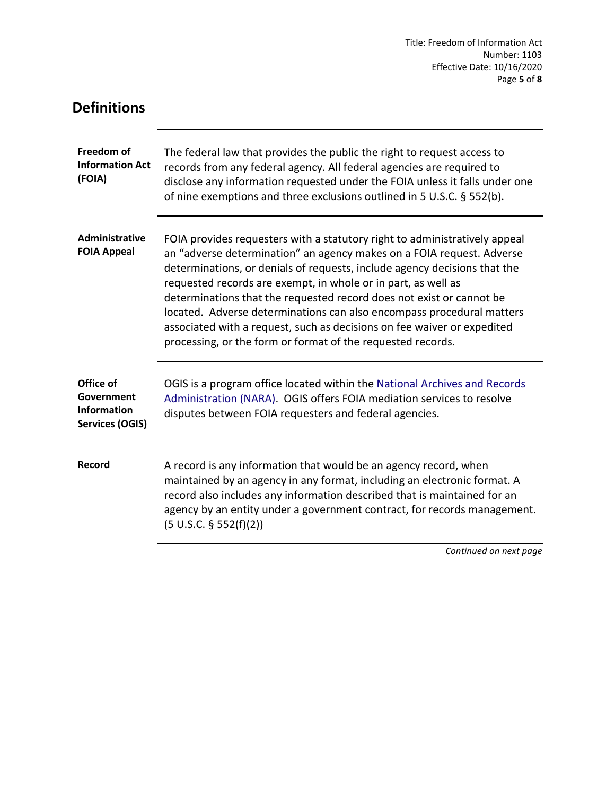Title: Freedom of Information Act Number: 1103 Effective Date: 10/16/2020 Page **5** of **8**

<span id="page-4-0"></span>

| <b>Definitions</b>                                                      |                                                                                                                                                                                                                                                                                                                                                                                                                                                                                                                                                                                              |
|-------------------------------------------------------------------------|----------------------------------------------------------------------------------------------------------------------------------------------------------------------------------------------------------------------------------------------------------------------------------------------------------------------------------------------------------------------------------------------------------------------------------------------------------------------------------------------------------------------------------------------------------------------------------------------|
| Freedom of<br><b>Information Act</b><br>(FOIA)                          | The federal law that provides the public the right to request access to<br>records from any federal agency. All federal agencies are required to<br>disclose any information requested under the FOIA unless it falls under one<br>of nine exemptions and three exclusions outlined in 5 U.S.C. § 552(b).                                                                                                                                                                                                                                                                                    |
| <b>Administrative</b><br><b>FOIA Appeal</b>                             | FOIA provides requesters with a statutory right to administratively appeal<br>an "adverse determination" an agency makes on a FOIA request. Adverse<br>determinations, or denials of requests, include agency decisions that the<br>requested records are exempt, in whole or in part, as well as<br>determinations that the requested record does not exist or cannot be<br>located. Adverse determinations can also encompass procedural matters<br>associated with a request, such as decisions on fee waiver or expedited<br>processing, or the form or format of the requested records. |
| Office of<br>Government<br><b>Information</b><br><b>Services (OGIS)</b> | OGIS is a program office located within the National Archives and Records<br>Administration (NARA). OGIS offers FOIA mediation services to resolve<br>disputes between FOIA requesters and federal agencies.                                                                                                                                                                                                                                                                                                                                                                                 |
| Record                                                                  | A record is any information that would be an agency record, when<br>maintained by an agency in any format, including an electronic format. A<br>record also includes any information described that is maintained for an<br>agency by an entity under a government contract, for records management.<br>(5 U.S.C. § 552(f)(2))                                                                                                                                                                                                                                                               |
|                                                                         | Continued on next page                                                                                                                                                                                                                                                                                                                                                                                                                                                                                                                                                                       |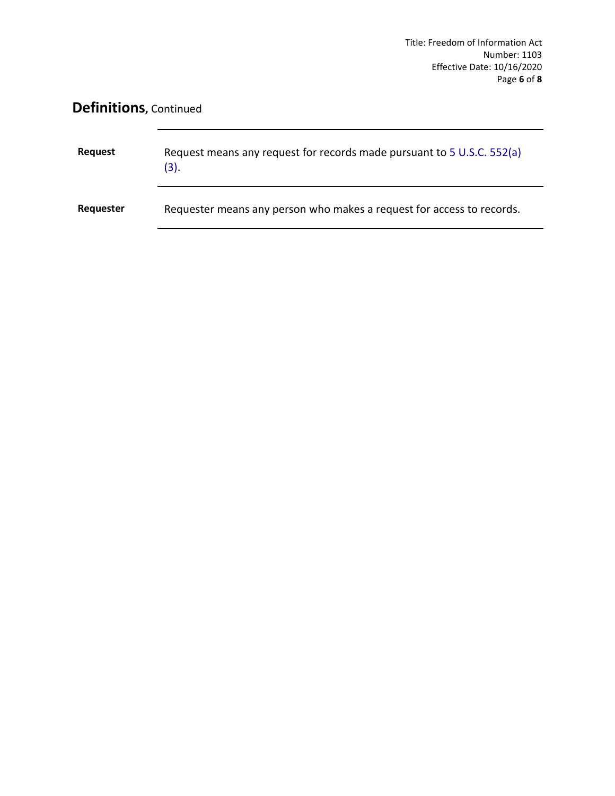### **Definitions,** Continued

| Request   | Request means any request for records made pursuant to 5 U.S.C. 552(a)<br>(3). |
|-----------|--------------------------------------------------------------------------------|
| Requester | Requester means any person who makes a request for access to records.          |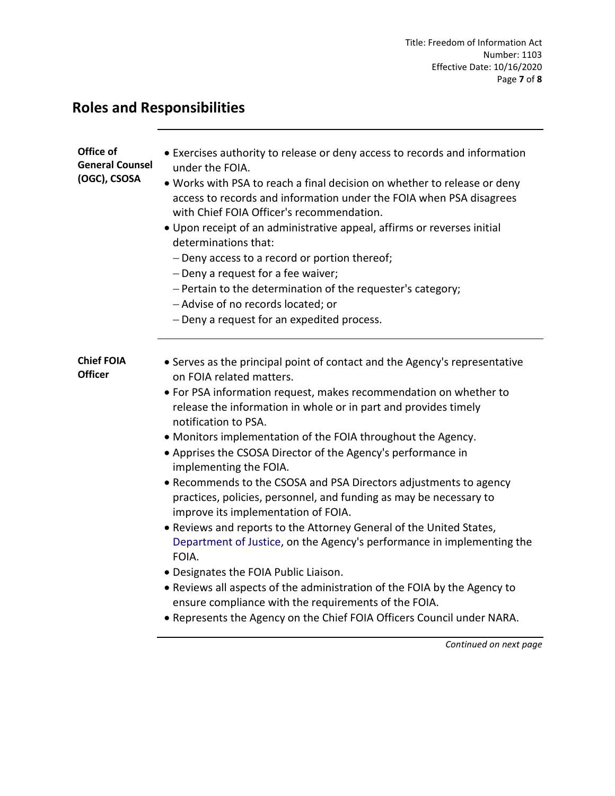## <span id="page-6-0"></span>**Roles and Responsibilities**

| Office of<br><b>General Counsel</b><br>(OGC), CSOSA | • Exercises authority to release or deny access to records and information<br>under the FOIA.<br>. Works with PSA to reach a final decision on whether to release or deny<br>access to records and information under the FOIA when PSA disagrees<br>with Chief FOIA Officer's recommendation.<br>. Upon receipt of an administrative appeal, affirms or reverses initial<br>determinations that:<br>- Deny access to a record or portion thereof;<br>- Deny a request for a fee waiver;<br>- Pertain to the determination of the requester's category;<br>- Advise of no records located; or<br>- Deny a request for an expedited process.                                                                                                                                                                                                                                                                                                                                                                                          |
|-----------------------------------------------------|-------------------------------------------------------------------------------------------------------------------------------------------------------------------------------------------------------------------------------------------------------------------------------------------------------------------------------------------------------------------------------------------------------------------------------------------------------------------------------------------------------------------------------------------------------------------------------------------------------------------------------------------------------------------------------------------------------------------------------------------------------------------------------------------------------------------------------------------------------------------------------------------------------------------------------------------------------------------------------------------------------------------------------------|
| <b>Chief FOIA</b><br><b>Officer</b>                 | • Serves as the principal point of contact and the Agency's representative<br>on FOIA related matters.<br>• For PSA information request, makes recommendation on whether to<br>release the information in whole or in part and provides timely<br>notification to PSA.<br>• Monitors implementation of the FOIA throughout the Agency.<br>• Apprises the CSOSA Director of the Agency's performance in<br>implementing the FOIA.<br>• Recommends to the CSOSA and PSA Directors adjustments to agency<br>practices, policies, personnel, and funding as may be necessary to<br>improve its implementation of FOIA.<br>• Reviews and reports to the Attorney General of the United States,<br>Department of Justice, on the Agency's performance in implementing the<br>FOIA.<br>· Designates the FOIA Public Liaison.<br>• Reviews all aspects of the administration of the FOIA by the Agency to<br>ensure compliance with the requirements of the FOIA.<br>. Represents the Agency on the Chief FOIA Officers Council under NARA. |